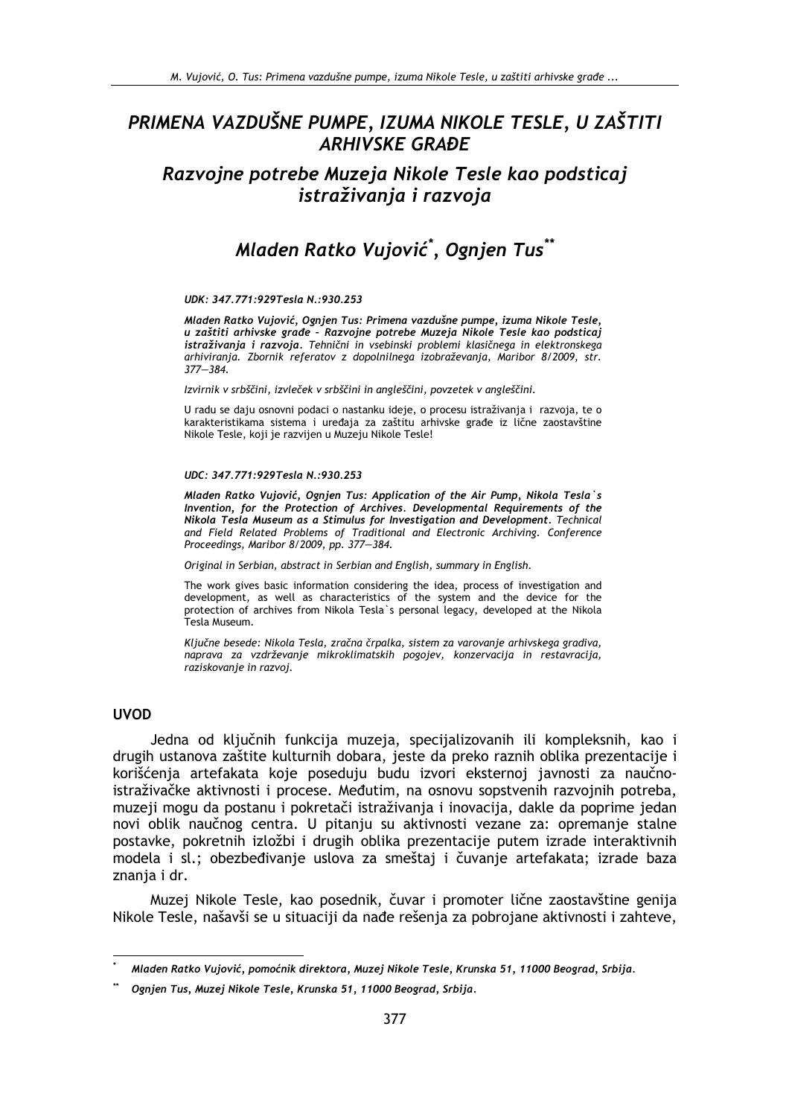# PRIMENA VAZDUŠNE PUMPE, IZUMA NIKOLE TESLE, U ZAŠTITI **ARHIVSKE GRAĐE**

Razvojne potrebe Muzeja Nikole Tesle kao podsticaj istraživanja i razvoja

# Mladen Ratko Vujović\*, Ognjen Tus\*\*

### $IINK \cdot 347 771 \cdot 929Total \cdot N \cdot 930 253$

Mladen Ratko Vujović, Ognjen Tus: Primena vazdušne pumpe, izuma Nikole Tesle,<br>u zaštiti arhivske građe - Razvojne potrebe Muzeja Nikole Tesle kao podsticaj istraživanja i razvoja. Tehnični in vsebinski problemi klasičnega in elektronskega arhiviranja. Zbornik referatov z dopolnilnega izobraževanja, Maribor 8/2009, str.  $377 - 384.$ 

Izvirnik v srbščini, izvleček v srbščini in angleščini, povzetek v angleščini.

U radu se daju osnovni podaci o nastanku ideje, o procesu istraživanja i razvoja, te o karakteristikama sistema i uređaja za zaštitu arhivske građe iz lične zaostavštine Nikole Tesle, koji je razvijen u Muzeju Nikole Tesle!

### UDC: 347.771:929Tesla N.:930.253

Mladen Ratko Vujović, Ognjen Tus: Application of the Air Pump, Nikola Tesla's Invention, for the Protection of Archives. Developmental Requirements of the Nikola Tesla Museum as a Stimulus for Investigation and Development. Technical and Field Related Problems of Traditional and Electronic Archiving. Conference Proceedings, Maribor 8/2009, pp. 377-384.

Original in Serbian, abstract in Serbian and English, summary in English.

The work gives basic information considering the idea, process of investigation and development, as well as characteristics of the system and the device for the protection of archives from Nikola Tesla's personal legacy, developed at the Nikola Tesla Museum.

Ključne besede: Nikola Tesla, zračna črpalka, sistem za varovanje arhivskega gradiva, naprava za vzdrževanje mikroklimatskih pogojev, konzervacija in restavracija, raziskovanie in razvoi.

### **UVOD**

Jedna od ključnih funkcija muzeja, specijalizovanih ili kompleksnih, kao i drugih ustanova zaštite kulturnih dobara, jeste da preko raznih oblika prezentacije i korišćenja artefakata koje poseduju budu izvori eksternoj javnosti za naučnoistraživačke aktivnosti i procese. Međutim, na osnovu sopstvenih razvojnih potreba, muzeji mogu da postanu i pokretači istraživanja i inovacija, dakle da poprime jedan novi oblik naučnog centra. U pitanju su aktivnosti vezane za: opremanje stalne postavke, pokretnih izložbi i drugih oblika prezentacije putem izrade interaktivnih modela i sl.; obezbeđivanje uslova za smeštaj i čuvanje artefakata; izrade baza znanja i dr.

Muzej Nikole Tesle, kao posednik, čuvar i promoter lične zaostavštine genija Nikole Tesle, našavši se u situaciji da nađe rešenja za pobrojane aktivnosti i zahteve,

Mladen Ratko Vujović, pomoćnik direktora, Muzej Nikole Tesle, Krunska 51, 11000 Beograd, Srbija.

Ognjen Tus, Muzej Nikole Tesle, Krunska 51, 11000 Beograd, Srbija.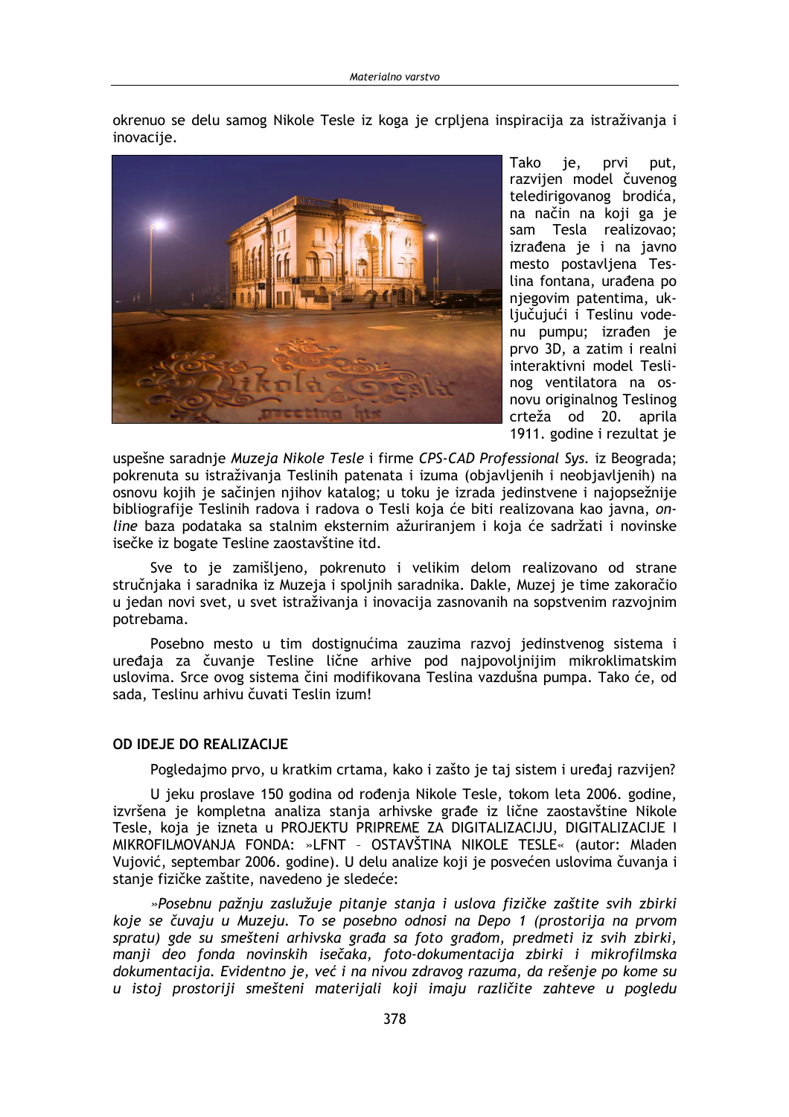okrenuo se delu samog Nikole Tesle iz koga je crpljena inspiracija za istraživanja i inovacije.



Tako je, prvi put. razvijen model čuvenog teledirigovanog brodića, na način na koji ga je sam Tesla realizovao; izrađena je i na javno mesto postavljena Teslina fontana, urađena po njegovim patentima, uključujući i Teslinu vodenu pumpu; izrađen je prvo 3D, a zatim i realni interaktivni model Teslinog ventilatora na osnovu originalnog Teslinog crteža od 20. aprila 1911. godine i rezultat je

uspešne saradnie Muzeja Nikole Tesle i firme CPS-CAD Professional Sys. iz Beograda; pokrenuta su istraživanja Teslinih patenata i izuma (objavljenih i neobjavljenih) na osnovu kojih je sačinjen njihov katalog; u toku je izrada jedinstvene i najopsežnije bibliografije Teslinih radova i radova o Tesli koja će biti realizovana kao javna, online baza podataka sa stalnim eksternim ažuriranjem i koja će sadržati i novinske isečke iz bogate Tesline zaostavštine itd.

Sve to je zamišljeno, pokrenuto i velikim delom realizovano od strane stručnjaka i saradnika iz Muzeja i spoljnih saradnika. Dakle, Muzej je time zakoračio u jedan novi svet, u svet istraživanja i inovacija zasnovanih na sopstvenim razvojnim potrebama.

Posebno mesto u tim dostignućima zauzima razvoj jedinstvenog sistema i uređaja za čuvanje Tesline lične arhive pod najpovoljnijim mikroklimatskim uslovima. Srce ovog sistema čini modifikovana Teslina vazdušna pumpa. Tako će, od sada, Teslinu arhivu čuvati Teslin izum!

### **OD IDEJE DO REALIZACIJE**

Pogledajmo prvo, u kratkim crtama, kako i zašto je taj sistem i uređaj razvijen?

U jeku proslave 150 godina od rođenja Nikole Tesle, tokom leta 2006. godine, izvršena je kompletna analiza stanja arhivske građe iz lične zaostavštine Nikole Tesle, koja je izneta u PROJEKTU PRIPREME ZA DIGITALIZACIJU, DIGITALIZACIJE I MIKROFILMOVANJA FONDA: »LFNT - OSTAVŠTINA NIKOLE TESLE« (autor: Mladen Vujović, septembar 2006. godine). U delu analize koji je posvećen uslovima čuvanja i stanje fizičke zaštite, navedeno je sledeće:

»Posebnu pažnju zaslužuje pitanje stanja i uslova fizičke zaštite svih zbirki koje se čuvaju u Muzeju. To se posebno odnosi na Depo 1 (prostorija na prvom spratu) gde su smešteni arhivska građa sa foto građom, predmeti iz svih zbirki, manji deo fonda novinskih isečaka, foto-dokumentacija zbirki i mikrofilmska dokumentacija. Evidentno je, već i na nivou zdravog razuma, da rešenje po kome su u istoj prostoriji smešteni materijali koji imaju različite zahteve u pogledu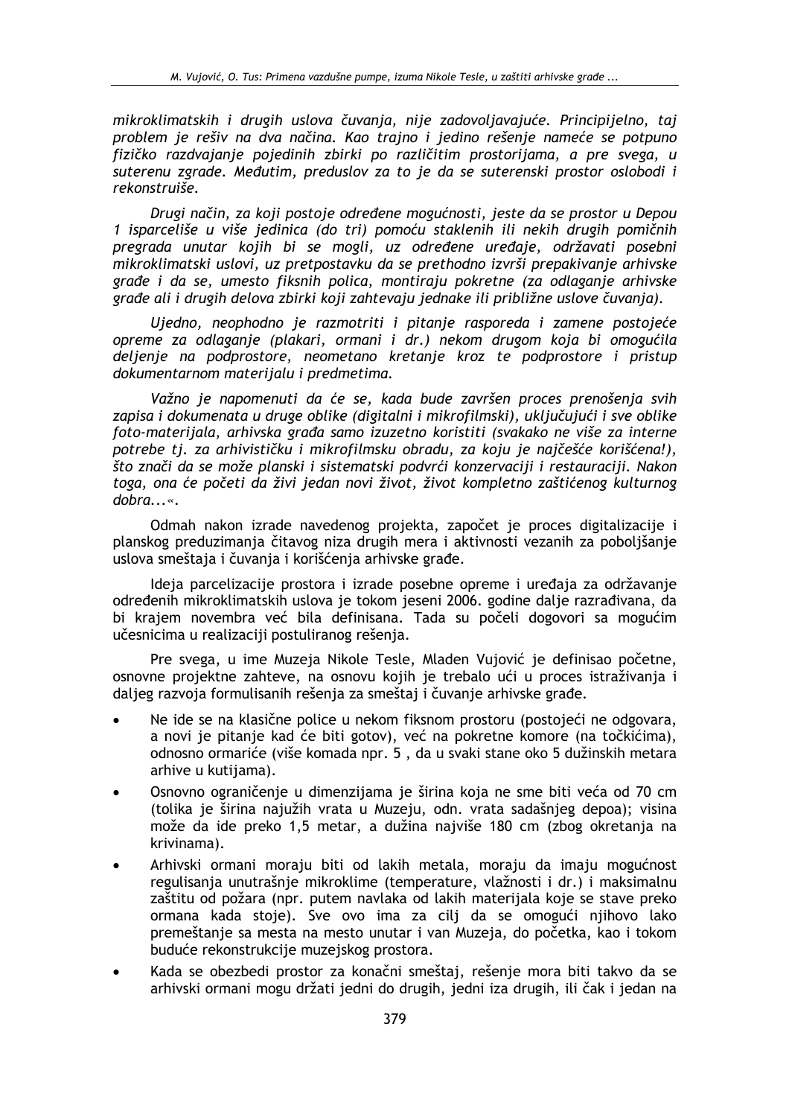mikroklimatskih i drugih uslova čuvanja, nije zadovoljavajuće. Principijelno, taj problem je rešiv na dva načina. Kao trajno i jedino rešenje nameće se potpuno fizičko razdvajanje pojedinih zbirki po različitim prostorijama, a pre svega, u suterenu zgrade. Međutim, preduslov za to je da se suterenski prostor oslobodi j rekonstruiše.

Drugi način, za koji postoje određene mogućnosti, jeste da se prostor u Depou 1 isparceliše u više jedinica (do tri) pomoću staklenih ili nekih drugih pomičnih pregrada unutar kojih bi se mogli, uz određene uređaje, održavati posebni mikroklimatski uslovi, uz pretpostavku da se prethodno izvrši prepakivanje arhivske građe i da se, umesto fiksnih polica, montiraju pokretne (za odlaganje arhivske građe ali i drugih delova zbirki koji zahtevaju jednake ili približne uslove čuvanja).

Ujedno, neophodno je razmotriti i pitanje rasporeda i zamene postojeće opreme za odlaganje (plakari, ormani i dr.) nekom drugom koja bi omogućila delienie na podprostore, neometano kretanje kroz te podprostore i pristup dokumentarnom materijalu i predmetima.

Važno je napomenuti da će se, kada bude završen proces prenošenja svih zapisa i dokumenata u druge oblike (digitalni i mikrofilmski), uključujući i sve oblike foto-materijala, arhivska građa samo izuzetno koristiti (svakako ne više za interne potrebe tj. za arhivističku i mikrofilmsku obradu, za koju je najčešće korišćena!), što znači da se može planski i sistematski podvrći konzervaciji i restauraciji. Nakon toga, ona će početi da živi jedan novi život, život kompletno zaštićenog kulturnog  $dobra...$ 

Odmah nakon izrade navedenog projekta, započet je proces digitalizacije i planskog preduzimanja čitavog niza drugih mera i aktivnosti vezanih za poboljšanje uslova smeštaja i čuvanja i korišćenja arhivske građe.

Ideja parcelizacije prostora i izrade posebne opreme i uređaja za održavanje određenih mikroklimatskih uslova je tokom jeseni 2006. godine dalje razrađivana, da bi krajem novembra već bila definisana. Tada su počeli dogovori sa mogućim učesnicima u realizaciji postuliranog rešenja.

Pre svega, u ime Muzeja Nikole Tesle, Mladen Vujović je definisao početne, osnovne projektne zahteve, na osnovu kojih je trebalo ući u proces istraživanja i dalieg razvoja formulisanih rešenja za smeštaj i čuvanje arhivske građe.

- Ne ide se na klasične police u nekom fiksnom prostoru (postojeći ne odgovara, a novi je pitanje kad će biti gotov), već na pokretne komore (na točkićima), odnosno ormariće (više komada npr. 5, da u svaki stane oko 5 dužinskih metara arhive u kutijama).
- Osnovno ograničenje u dimenzijama je širina koja ne sme biti veća od 70 cm (tolika je širina najužih vrata u Muzeju, odn. vrata sadašnjeg depoa); visina može da ide preko 1,5 metar, a dužina najviše 180 cm (zbog okretanja na krivinama).
- Arhivski ormani moraju biti od lakih metala, moraju da imaju mogućnost regulisanja unutrašnje mikroklime (temperature, vlažnosti i dr.) i maksimalnu zaštitu od požara (npr. putem navlaka od lakih materijala koje se stave preko ormana kada stoje). Sve ovo ima za cilj da se omogući njihovo lako premeštanje sa mesta na mesto unutar i van Muzeja, do početka, kao i tokom buduće rekonstrukcije muzejskog prostora.
- Kada se obezbedi prostor za konačni smeštaj, rešenje mora biti takvo da se arhivski ormani mogu držati jedni do drugih, jedni iza drugih, ili čak i jedan na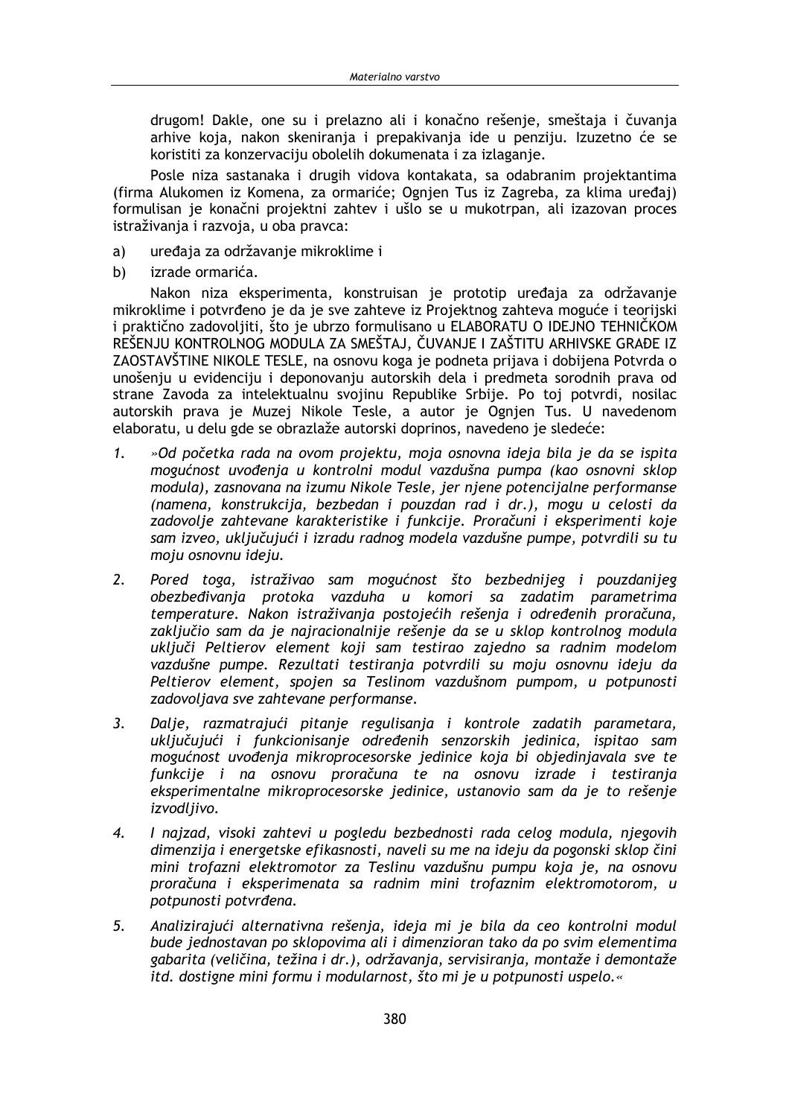drugom! Dakle, one su i prelazno ali i konačno rešenje, smeštaja i čuvanja arhive koja, nakon skeniranja i prepakivanja ide u penziju. Izuzetno će se koristiti za konzervaciju obolelih dokumenata i za izlaganje.

Posle niza sastanaka i drugih vidova kontakata, sa odabranim projektantima (firma Alukomen iz Komena, za ormariće; Ognjen Tus iz Zagreba, za klima uređaj) formulisan je konačni projektni zahtev i ušlo se u mukotrpan, ali izazovan proces istraživanja i razvoja, u oba pravca:

- $a)$ uređaja za održavanje mikroklime i
- b) izrade ormarića.

Nakon niza eksperimenta, konstruisan je prototip uređaja za održavanje mikroklime i potvrđeno je da je sve zahteve iz Projektnog zahteva moguće i teorijski i praktično zadovoljiti, što je ubrzo formulisano u ELABORATU O IDEJNO TEHNIČKOM REŠENJU KONTROLNOG MODULA ZA SMEŠTAJ, ČUVANJE I ZAŠTITU ARHIVSKE GRAĐE IZ ZAOSTAVŠTINE NIKOLE TESLE, na osnovu koga je podneta prijava i dobijena Potvrda o unošenju u evidenciju i deponovanju autorskih dela i predmeta sorodnih prava od strane Zavoda za intelektualnu svojinu Republike Srbije. Po toj potvrdi, nosilac autorskih prava je Muzej Nikole Tesle, a autor je Ognjen Tus. U navedenom elaboratu, u delu gde se obrazlaže autorski doprinos, navedeno je sledeće:

- $1.$ »Od početka rada na ovom projektu, moja osnovna ideja bila je da se ispita mogućnost uvođenja u kontrolni modul vazdušna pumpa (kao osnovni sklop modula), zasnovana na izumu Nikole Tesle, jer njene potencijalne performanse (namena, konstrukcija, bezbedan i pouzdan rad i dr.), mogu u celosti da zadovolje zahtevane karakteristike i funkcije. Proračuni i eksperimenti koje sam izveo, uključujući i izradu radnog modela vazdušne pumpe, potvrdili su tu moju osnovnu ideju.
- $2.$ Pored toga, istraživao sam mogućnost što bezbednijeg i pouzdanijeg obezbeđivanja protoka vazduha u komori sa zadatim parametrima temperature. Nakon istraživania postojećih rešenia i određenih proračuna, zaključio sam da je najracionalnije rešenje da se u sklop kontrolnog modula ukliuči Peltierov element koji sam testirao zajedno sa radnim modelom vazdušne pumpe. Rezultati testiranja potvrdili su moju osnovnu ideju da Peltierov element, spojen sa Teslinom vazdušnom pumpom, u potpunosti zadovoljava sve zahtevane performanse.
- $3.$ Dalje, razmatrajući pitanje regulisanja i kontrole zadatih parametara, uključujući i funkcionisanje određenih senzorskih jedinica, ispitao sam mogućnost uvođenja mikroprocesorske jedinice koja bi objedinjavala sve te funkcije i na osnovu proračuna te na osnovu izrade i testiranja eksperimentalne mikroprocesorske jedinice, ustanovio sam da je to rešenje izvodljivo.
- $\boldsymbol{4}$ . I najzad, visoki zahtevi u pogledu bezbednosti rada celog modula, njegovih dimenzija i energetske efikasnosti, naveli su me na ideju da pogonski sklop čini mini trofazni elektromotor za Teslinu vazdušnu pumpu koja je, na osnovu proračuna i eksperimenata sa radnim mini trofaznim elektromotorom, u potpunosti potvrđena.
- 5. Analizirajući alternativna rešenja, ideja mi je bila da ceo kontrolni modul bude jednostavan po sklopovima ali i dimenzioran tako da po svim elementima gabarita (veličina, težina i dr.), održavanja, servisiranja, montaže i demontaže itd. dostigne mini formu i modularnost, što mi je u potpunosti uspelo.«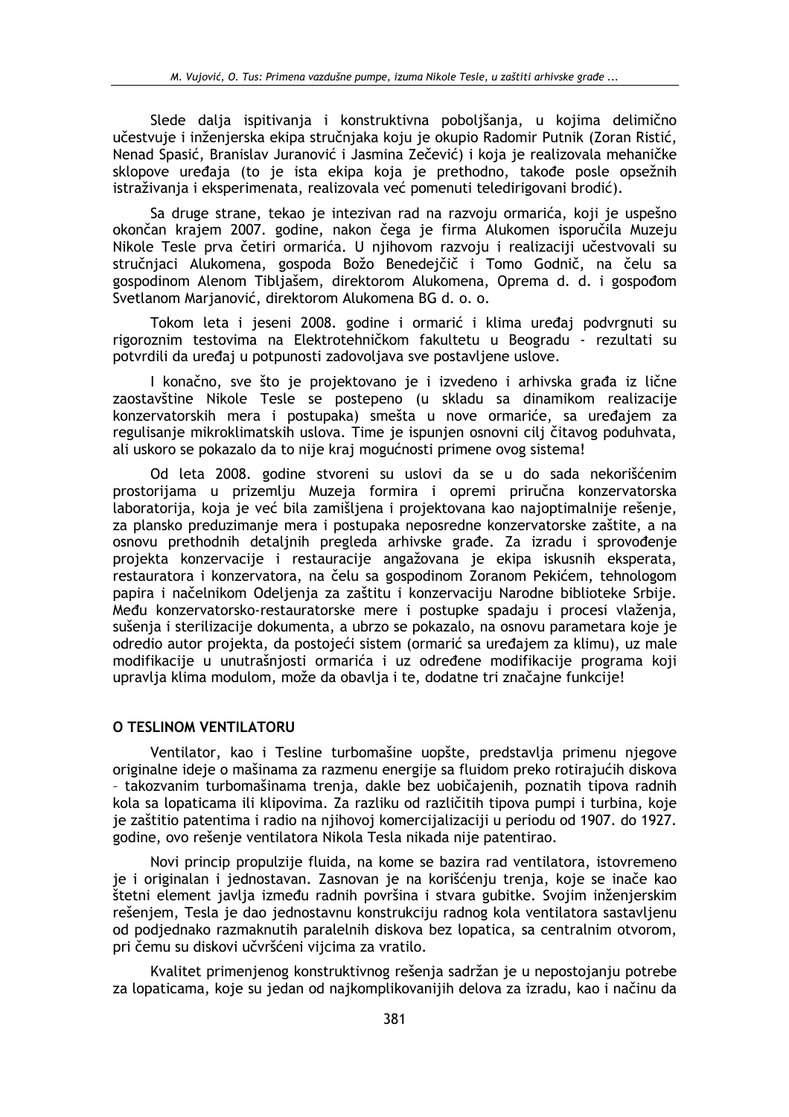Slede dalja ispitivanja i konstruktivna poboljšanja, u kojima delimično učestvuje i inženjerska ekipa stručnjaka koju je okupio Radomir Putnik (Zoran Ristić, Nenad Spasić, Branislav Juranović i Jasmina Zečević) i koja je realizovala mehaničke sklopove uređaja (to je ista ekipa koja je prethodno, takođe posle opsežnih istraživanja i eksperimenata, realizovala već pomenuti teledirigovani brodić).

Sa druge strane, tekao je intezivan rad na razvoju ormarića, koji je uspešno okončan krajem 2007. godine, nakon čega je firma Alukomen isporučila Muzeju Nikole Tesle prva četiri ormarića. U njihovom razvoju i realizaciji učestvovali su stručnjaci Alukomena, gospoda Božo Benedejčič i Tomo Godnič, na čelu sa gospodinom Alenom Tibljašem, direktorom Alukomena, Oprema d. d. i gospođom Svetlanom Marjanović, direktorom Alukomena BG d. o. o.

Tokom leta i jeseni 2008. godine i ormarić i klima uređaj podvrgnuti su rigoroznim testovima na Elektrotehničkom fakultetu u Beogradu - rezultati su potvrdili da uređaj u potpunosti zadovoljava sve postavljene uslove.

I konačno, sve što je projektovano je i izvedeno i arhivska građa iz lične zaostavštine Nikole Tesle se postepeno (u skladu sa dinamikom realizacije konzervatorskih mera i postupaka) smešta u nove ormariće, sa uređajem za regulisanje mikroklimatskih uslova. Time je ispunjen osnovni cilj čitavog poduhvata, ali uskoro se pokazalo da to nije kraj mogućnosti primene ovog sistema!

Od leta 2008. godine stvoreni su uslovi da se u do sada nekorišćenim prostorijama u prizemlju Muzeja formira i opremi priručna konzervatorska laboratorija, koja je već bila zamišljena i projektovana kao najoptimalnije rešenje, za plansko preduzimanje mera i postupaka neposredne konzervatorske zaštite, a na osnovu prethodnih detaljnih pregleda arhivske građe. Za izradu i sprovođenje projekta konzervacije i restauracije angažovana je ekipa iskusnih eksperata, restauratora i konzervatora, na čelu sa gospodinom Zoranom Pekićem, tehnologom papira i načelnikom Odelienia za zaštitu i konzervaciju Narodne biblioteke Srbije. Među konzervatorsko-restauratorske mere i postupke spadaju i procesi vlaženia. sušenja i sterilizacije dokumenta, a ubrzo se pokazalo, na osnovu parametara koje je odredio autor projekta, da postojeći sistem (ormarić sa uređajem za klimu), uz male modifikacije u unutrašnjosti ormarića i uz određene modifikacije programa koji upravlia klima modulom, može da obavlia i te, dodatne tri značajne funkcije!

### O TESLINOM VENTILATORU

Ventilator, kao i Tesline turbomašine uopšte, predstavlja primenu njegove originalne ideje o mašinama za razmenu energije sa fluidom preko rotirajućih diskova - takozvanim turbomašinama trenja, dakle bez uobičajenih, poznatih tipova radnih kola sa lopaticama ili klipovima. Za razliku od različitih tipova pumpi i turbina, koje je zaštitio patentima i radio na njihovoj komercijalizaciji u periodu od 1907. do 1927. godine, ovo rešenje ventilatora Nikola Tesla nikada nije patentirao.

Novi princip propulzije fluida, na kome se bazira rad ventilatora, istovremeno je i originalan i jednostavan. Zasnovan je na korišćenju trenja, koje se inače kao štetni element javlja između radnih površina i stvara gubitke. Svojim inženjerskim rešenjem, Tesla je dao jednostavnu konstrukciju radnog kola ventilatora sastavljenu od podjednako razmaknutih paralelnih diskova bez lopatica, sa centralnim otvorom, pri čemu su diskovi učvršćeni vijcima za vratilo.

Kvalitet primenjenog konstruktivnog rešenja sadržan je u nepostojanju potrebe za lopaticama, koje su jedan od najkomplikovanijih delova za izradu, kao i načinu da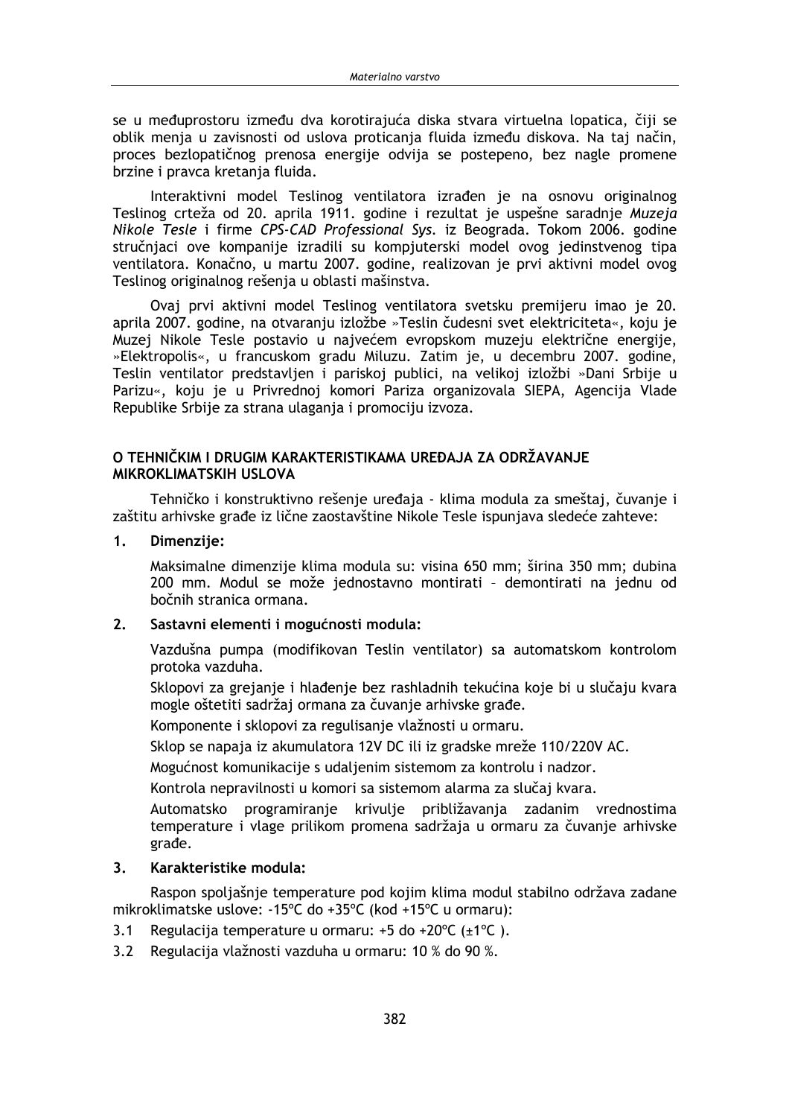se u međuprostoru između dva korotirajuća diska stvara virtuelna lopatica, čiji se oblik menja u zavisnosti od uslova proticanja fluida između diskova. Na taj način, proces bezlopatičnog prenosa energije odvija se postepeno, bez nagle promene brzine i pravca kretania fluida.

Interaktivni model Teslinog ventilatora izrađen je na osnovu originalnog Teslinog crteža od 20. aprila 1911. godine i rezultat je uspešne saradnje Muzeja Nikole Tesle i firme CPS-CAD Professional Sys. iz Beograda. Tokom 2006. godine stručnjaci ove kompanije izradili su kompjuterski model ovog jedinstvenog tipa ventilatora. Konačno, u martu 2007. godine, realizovan je prvi aktivni model ovog Teslinog originalnog rešenja u oblasti mašinstva.

Ovaj prvi aktivni model Teslinog ventilatora svetsku premijeru imao je 20. aprila 2007. godine, na otvaranju izložbe »Teslin čudesni svet elektriciteta«, koju je Muzej Nikole Tesle postavio u najvećem evropskom muzeju električne energije, »Elektropolis«, u francuskom gradu Miluzu. Zatim je, u decembru 2007. godine, Teslin ventilator predstavljen i pariskoj publici, na velikoj izložbi »Dani Srbije u Parizu«, koju je u Privrednoj komori Pariza organizovala SIEPA, Agencija Vlade Republike Srbije za strana ulaganja i promociju izvoza.

## O TEHNIČKIM I DRUGIM KARAKTERISTIKAMA UREĐAJA ZA ODRŽAVANJE MIKROKLIMATSKIH USLOVA

Tehničko i konstruktivno rešenje uređaja - klima modula za smeštaj, čuvanje i zaštitu arhivske građe iz lične zaostavštine Nikole Tesle ispunjava sledeće zahteve:

 $1.$ Dimenzije:

> Maksimalne dimenzije klima modula su: visina 650 mm; širina 350 mm; dubina 200 mm. Modul se može jednostavno montirati - demontirati na jednu od bočnih stranica ormana.

#### $2.$ Sastavni elementi i mogućnosti modula:

Vazdušna pumpa (modifikovan Teslin ventilator) sa automatskom kontrolom protoka vazduha.

Sklopovi za grejanje i hlađenje bez rashladnih tekućina koje bi u slučaju kvara mogle oštetiti sadržaj ormana za čuvanie arhivske građe.

Komponente i sklopovi za regulisanie vlažnosti u ormaru.

Sklop se napaja iz akumulatora 12V DC ili iz gradske mreže 110/220V AC.

Mogućnost komunikacije s udaljenim sistemom za kontrolu i nadzor.

Kontrola nepravilnosti u komori sa sistemom alarma za slučaj kvara.

Automatsko programiranje krivulje približavanja zadanim vrednostima temperature i vlage prilikom promena sadržaja u ormaru za čuvanje arhivske građe.

#### $3<sub>1</sub>$ Karakteristike modula:

Raspon spoljašnje temperature pod kojim klima modul stabilno održava zadane mikroklimatske uslove: -15°C do +35°C (kod +15°C u ormaru):

- $3.1$ Regulacija temperature u ormaru: +5 do +20 $^{\circ}$ C ( $\pm$ 1 $^{\circ}$ C).
- 3.2 Regulacija vlažnosti vazduha u ormaru: 10 % do 90 %.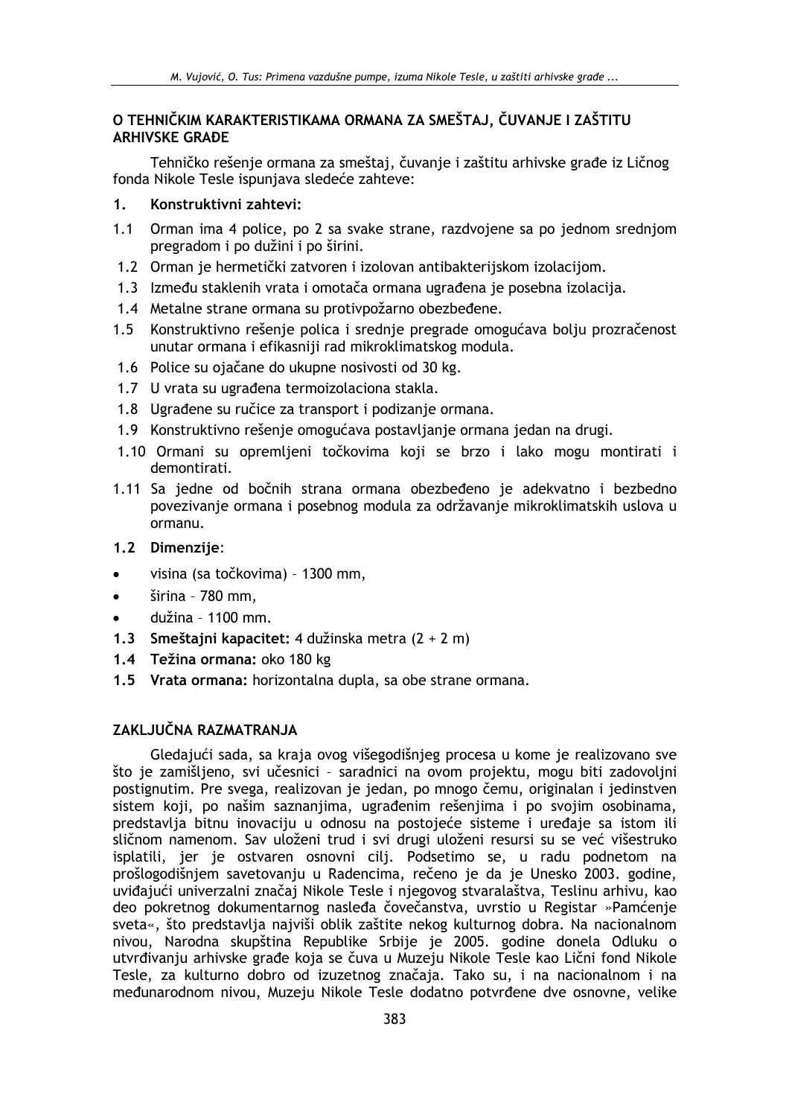# O TEHNIČKIM KARAKTERISTIKAMA ORMANA ZA SMEŠTAJ. ČUVANJE I ZAŠTITU **ARHIVSKE GRADE**

Tehničko rešenje ormana za smeštaj, čuvanje i zaštitu arhivske građe iz Ličnog fonda Nikole Tesle ispuniava sledeće zahteve:

#### $1<sup>1</sup>$ Konstruktivni zahtevi:

- 1.1 Orman ima 4 police, po 2 sa svake strane, razdvojene sa po jednom srednjom pregradom i po dužini i po širini.
- 1.2 Orman je hermetički zatvoren i izolovan antibakterijskom izolacijom.
- 1.3 Između staklenih vrata i omotača ormana ugrađena je posebna izolacija.
- 1.4 Metalne strane ormana su protivpožarno obezbeđene.
- Konstruktivno rešenje polica i srednje pregrade omogućava bolju prozračenost  $1.5$ unutar ormana i efikasniji rad mikroklimatskog modula.
- 1.6 Police su ojačane do ukupne nosivosti od 30 kg.
- 1.7 U vrata su ugrađena termoizolaciona stakla.
- 1.8 Ugrađene su ručice za transport i podizanje ormana.
- 1.9 Konstruktivno rešenje omogućava postavljanje ormana jedan na drugi.
- 1.10 Ormani su opremljeni točkovima koji se brzo i lako mogu montirati i demontirati.
- 1.11 Sa jedne od bočnih strana ormana obezbeđeno je adekvatno i bezbedno povezivanje ormana i posebnog modula za održavanje mikroklimatskih uslova u ormanu.
- 1.2 Dimenzije:
- visina (sa točkovima) 1300 mm,
- širina 780 mm,
- dužina 1100 mm.
- 1.3 Smeštajni kapacitet: 4 dužinska metra (2 + 2 m)
- 1.4 Težina ormana: oko 180 kg
- 1.5 Vrata ormana: horizontalna dupla, sa obe strane ormana.

# ZAKLJUČNA RAZMATRANJA

Gledajući sada, sa kraja ovog višegodišnjeg procesa u kome je realizovano sve što je zamišljeno, svi učesnici - saradnici na ovom projektu, mogu biti zadovoljni postignutim. Pre svega, realizovan je jedan, po mnogo čemu, originalan i jedinstven sistem koji, po našim saznanjima, ugrađenim rešenjima i po svojim osobinama, predstavlja bitnu inovaciju u odnosu na postojeće sisteme i uređaje sa istom ili sličnom namenom. Sav uloženi trud i svi drugi uloženi resursi su se već višestruko isplatili, jer je ostvaren osnovni cilj. Podsetimo se, u radu podnetom na prošlogodišnjem savetovanju u Radencima, rečeno je da je Unesko 2003. godine, uviđajući univerzalni značaj Nikole Tesle i njegovog stvaralaštva, Teslinu arhivu, kao deo pokretnog dokumentarnog nasleđa čovečanstva, uvrstio u Registar »Pamćenje sveta«, što predstavlja najviši oblik zaštite nekog kulturnog dobra. Na nacionalnom nivou, Narodna skupština Republike Srbije je 2005. godine donela Odluku o utvrđivanju arhivske građe koja se čuva u Muzeju Nikole Tesle kao Lični fond Nikole Tesle, za kulturno dobro od izuzetnog značaja. Tako su, i na nacionalnom i na međunarodnom nivou, Muzeju Nikole Tesle dodatno potvrđene dve osnovne, velike